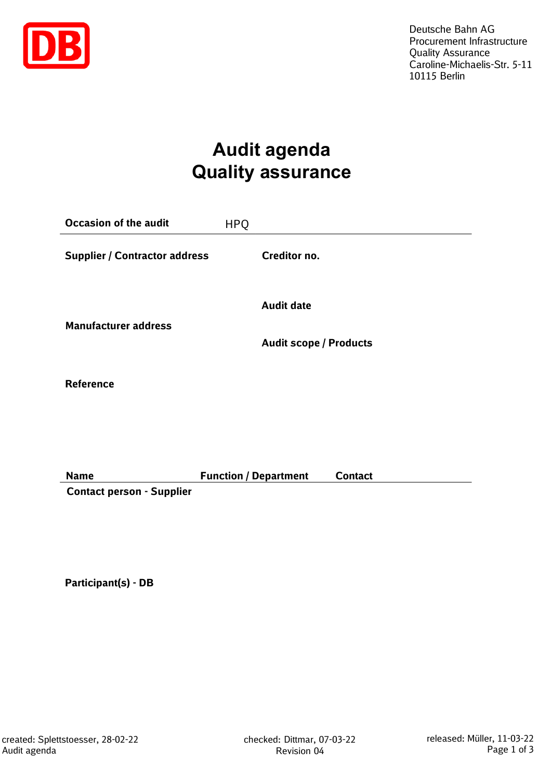

Deutsche Bahn AG Procurement Infrastructure Quality Assurance Caroline-Michaelis-Str. 5-11 10115 Berlin

## **Audit agenda Quality assurance**

| <b>Occasion of the audit</b>         | <b>HPO</b> |                               |
|--------------------------------------|------------|-------------------------------|
| <b>Supplier / Contractor address</b> |            | Creditor no.                  |
| <b>Manufacturer address</b>          |            | <b>Audit date</b>             |
|                                      |            | <b>Audit scope / Products</b> |
| Reference                            |            |                               |
|                                      |            |                               |

| <b>Name</b>                      | <b>Function / Department</b> | <b>Contact</b> |
|----------------------------------|------------------------------|----------------|
| <b>Contact person - Supplier</b> |                              |                |

**Participant(s) - DB**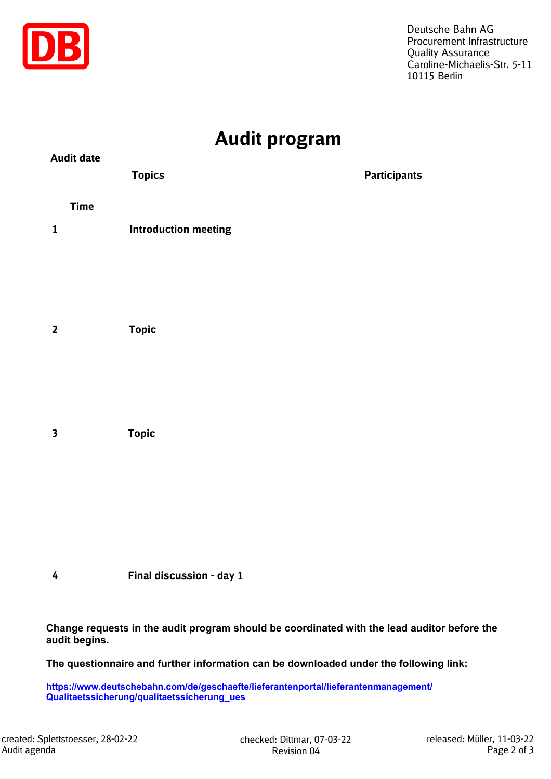

## **Audit program**

| <b>Audit date</b>       |                             |                     |
|-------------------------|-----------------------------|---------------------|
|                         | <b>Topics</b>               | <b>Participants</b> |
| <b>Time</b>             |                             |                     |
| $\mathbf 1$             | <b>Introduction meeting</b> |                     |
|                         |                             |                     |
|                         |                             |                     |
|                         |                             |                     |
| $\overline{\mathbf{2}}$ | <b>Topic</b>                |                     |
|                         |                             |                     |
|                         |                             |                     |
|                         |                             |                     |
| $\overline{\mathbf{3}}$ | <b>Topic</b>                |                     |
|                         |                             |                     |
|                         |                             |                     |
|                         |                             |                     |
|                         |                             |                     |
|                         |                             |                     |
| $\overline{4}$          | Final discussion - day 1    |                     |

**Change requests in the audit program should be coordinated with the lead auditor before the audit begins.** 

**The questionnaire and further information can be downloaded under the following link:** 

**[https://www.deutschebahn.com/de/geschaefte/lieferantenportal/lieferantenmanagement/](https://www.deutschebahn.com/de/geschaefte/lieferantenportal/lieferantenmanagement/Qualitaetssicherung/qualitaetssicherung_ues) Qualitaetssicherung/qualitaetssicherung\_ues**